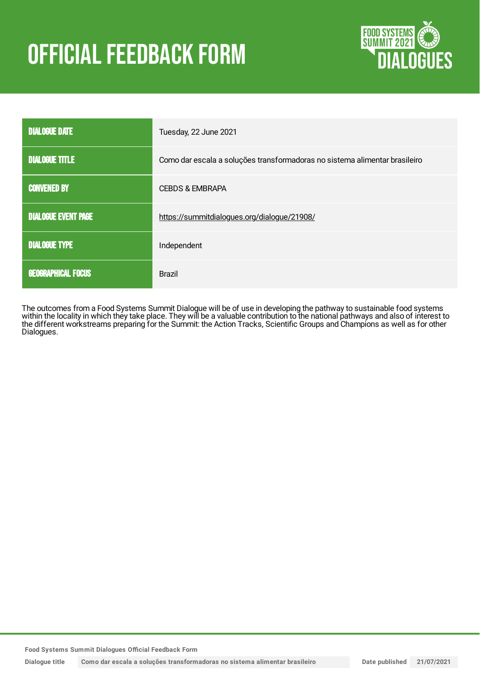# OFFICIAL FEEDBACK FORM



| <b>DIALOGUE DATE</b>       | Tuesday, 22 June 2021                                                      |
|----------------------------|----------------------------------------------------------------------------|
| <b>DIALOGUE TITLE</b>      | Como dar escala a soluções transformadoras no sistema alimentar brasileiro |
| <b>CONVENED BY</b>         | <b>CEBDS &amp; EMBRAPA</b>                                                 |
| <b>DIALOGUE EVENT PAGE</b> | https://summitdialogues.org/dialogue/21908/                                |
| <b>DIALOGUE TYPE</b>       | Independent                                                                |
| <b>GEOGRAPHICAL FOCUS</b>  | <b>Brazil</b>                                                              |

The outcomes from a Food Systems Summit Dialogue will be of use in developing the pathway to sustainable food systems within the locality in which they take place. They will be a valuable contribution to the national pathways and also of interest to the different workstreams preparing for the Summit: the Action Tracks, Scientific Groups and Champions as well as for other Dialogues.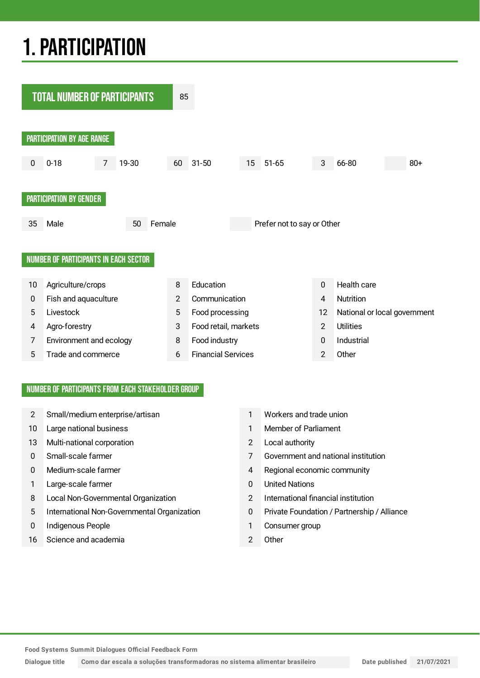## 1.PARTICIPATION



#### NUMBER OF PARTICIPANTS FROM EACH STAKEHOLDER GROUP

- 2 Small/medium enterprise/artisan 1 Workers and trade union
- 10 Large national business 1 Member of Parliament
- 13 Multi-national corporation 2 Local authority
- 
- 
- 1 Large-scale farmer 1 and 1 and 1 and 1 and 1 and 1 and 1 and 1 and 1 and 1 and 1 and 1 and 1 and 1 and 1 and 1 and 1 and 1 and 1 and 1 and 1 and 1 and 1 and 1 and 1 and 1 and 1 and 1 and 1 and 1 and 1 and 1 and 1 and 1 a
- 8 Local Non-Governmental Organization 2 International financial institution
- 5 International Non-Governmental Organization 0 Private Foundation / Partnership / Alliance
- 0 Indigenous People 1 Consumer group
- 16 Science and academia 2 Other
- 
- 
- 
- 0 Small-scale farmer 7 Government and national institution
- 0 Medium-scale farmer 10 and 1 and 2 and 2 and 2 and 2 and 2 and 2 and 2 and 2 and 2 and 2 and 2 and 2 and 2 and 2 and 2 and 2 and 2 and 2 and 2 and 2 and 2 and 2 and 2 and 2 and 2 and 2 and 2 and 2 and 2 and 2 and 2 and 2
	-
	-
	-
	-
	-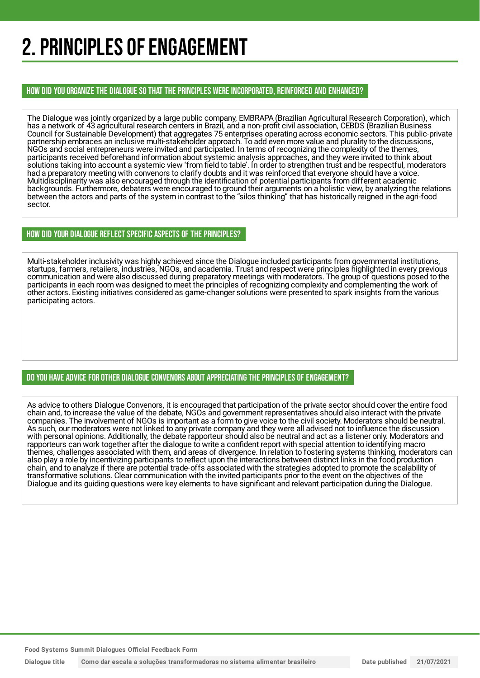### 2. PRINCIPLES OF ENGAGEMENT

HOW DID YOU ORGANIZE THE DIALOGUE SO THAT THE PRINCIPLES WERE INCORPORATED, REINFORCED AND ENHANCED?

The Dialogue was jointly organized by a large public company, EMBRAPA (Brazilian Agricultural Research Corporation), which has a network of 43 agricultural research centers in Brazil, and a non-profit civil association, CEBDS (Brazilian Business Council for Sustainable Development) that aggregates 75 enterprises operating across economic sectors. This public-private partnership embraces an inclusive multi-stakeholder approach. To add even more value and plurality to the discussions, NGOs and social entrepreneurs were invited and participated. In terms of recognizing the complexity of the themes, participants received beforehand information about systemic analysis approaches, and they were invited to think about solutions taking into account a systemic view 'from field to table'. In order to strengthen trust and be respectful, moderators had a preparatory meeting with convenors to clarify doubts and it was reinforced that everyone should have a voice. Multidisciplinarity was also encouraged through the identification of potential participants from different academic backgrounds. Furthermore, debaters were encouraged to ground their arguments on a holistic view, by analyzing the relations between the actors and parts of the system in contrast to the "silos thinking" that has historically reigned in the agri-food sector.

#### HOW DID YOUR DIALOGUE REFLECT SPECIFIC ASPECTS OF THE PRINCIPLES?

Multi-stakeholder inclusivity was highly achieved since the Dialogue included participants from governmental institutions, startups, farmers, retailers, industries, NGOs, and academia. Trust and respect were principles highlighted in every previous communication and were also discussed during preparatory meetings with moderators. The group of questions posed to the participants in each room was designed to meet the principles of recognizing complexity and complementing the work of other actors. Existing initiatives considered as game-changer solutions were presented to spark insights from the various participating actors.

#### DO YOU HAVE ADVICE FOR OTHER DIALOGUE CONVENORS ABOUT APPRECIATINGTHE PRINCIPLES OF ENGAGEMENT?

As advice to others Dialogue Convenors, it is encouraged that participation of the private sector should cover the entire food chain and, to increase the value of the debate, NGOs and government representatives should also interact with the private companies. The involvement of NGOs is important as a form to give voice to the civil society. Moderators should be neutral. As such, our moderators were not linked to any private company and they were all advised not to influence the discussion with personal opinions. Additionally, the debate rapporteur should also be neutral and act as a listener only. Moderators and rapporteurs can work together after the dialogue to write a confident report with special attention to identifying macro themes, challenges associated with them, and areas of divergence. In relation to fostering systems thinking, moderators can also play a role by incentivizing participants to reflect upon the interactions between distinct links in the food production chain, and to analyze if there are potential trade-offs associated with the strategies adopted to promote the scalability of transformative solutions. Clear communication with the invited participants prior to the event on the objectives of the Dialogue and its guiding questions were key elements to have significant and relevant participation during the Dialogue.

**Food Systems Summit Dialogues Official Feedback Form**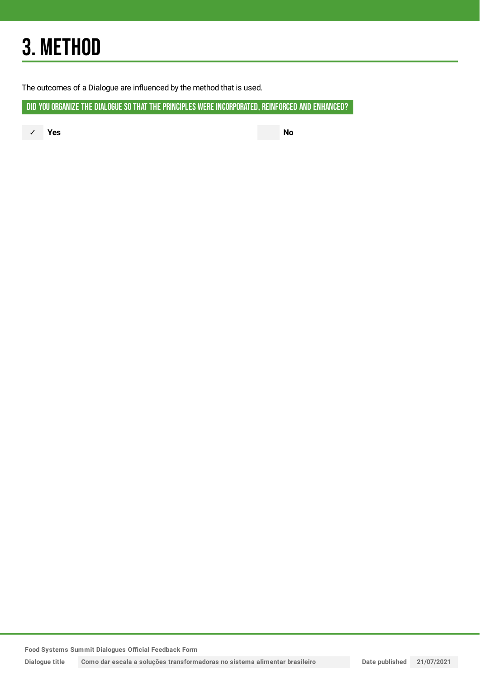## 3. METHOD

The outcomes of a Dialogue are influenced by the method that is used.

DID YOU ORGANIZE THE DIALOGUE SO THAT THE PRINCIPLES WERE INCORPORATED, REINFORCED AND ENHANCED?

✓ **Yes No**

**Food Systems Summit Dialogues Official Feedback Form**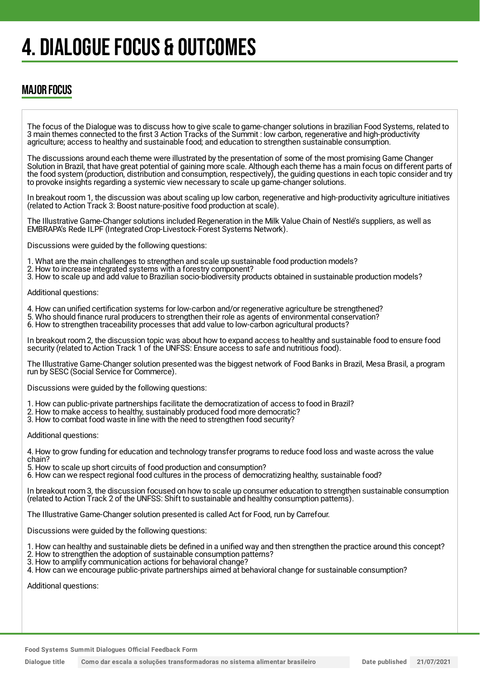### 4. DIALOGUE FOCUS & OUTCOMES

### MAJOR FOCUS

The focus of the Dialogue was to discuss how to give scale to game-changer solutions in brazilian Food Systems, related to 3 main themes connected to the first 3 Action Tracks of the Summit : low carbon, regenerative and high-productivity agriculture; access to healthy and sustainable food; and education to strengthen sustainable consumption.

The discussions around each theme were illustrated by the presentation of some of the most promising Game Changer Solution in Brazil, that have great potential of gaining more scale. Although each theme has a main focus on different parts of the food system (production, distribution and consumption, respectively), the guiding questions in each topic consider and try to provoke insights regarding a systemic view necessary to scale up game-changer solutions.

In breakout room 1, the discussion was about scaling up low carbon, regenerative and high-productivity agriculture initiatives (related to Action Track 3: Boost nature-positive food production at scale).

The Illustrative Game-Changer solutions included Regeneration in the Milk Value Chain of Nestlé's suppliers, as well as EMBRAPA's Rede ILPF (Integrated Crop-Livestock-Forest Systems Network).

Discussions were guided by the following questions:

1. What are the main challenges to strengthen and scale up sustainable food production models?

- 2. How to increase integrated systems with a forestry component?
- 3. How to scale up and add value to Brazilian socio-biodiversity products obtained in sustainable production models?

Additional questions:

- 4. How can unified certification systems for low-carbon and/or regenerative agriculture be strengthened?
- 5. Who should finance rural producers to strengthen their role as agents of environmental conservation?
- 6. How to strengthen traceability processes that add value to low-carbon agricultural products?

In breakout room 2, the discussion topic was about how to expand access to healthy and sustainable food to ensure food security (related to Action Track 1 of the UNFSS: Ensure access to safe and nutritious food).

The Illustrative Game-Changer solution presented was the biggest network of Food Banks in Brazil, Mesa Brasil, a program run by SESC (Social Service for Commerce).

Discussions were guided by the following questions:

- 1. How can public-private partnerships facilitate the democratization of access to food in Brazil?
- 2. How to make access to healthy, sustainably produced food more democratic?
- 3. How to combat food waste in line with the need to strengthen food security?

Additional questions:

4. How to grow funding for education and technology transfer programs to reduce food loss and waste across the value chain?

- 5. How to scale up short circuits of food production and consumption?
- 6. How can we respect regional food cultures in the process of democratizing healthy, sustainable food?

In breakout room 3, the discussion focused on how to scale up consumer education to strengthen sustainable consumption (related to Action Track 2 of the UNFSS: Shift to sustainable and healthy consumption patterns).

The Illustrative Game-Changer solution presented is called Act for Food, run by Carrefour.

Discussions were guided by the following questions:

- 1. How can healthy and sustainable diets be defined in a unified way and then strengthen the practice around this concept?
- 2. How to strengthen the adoption of sustainable consumption patterns?
- 3. How to amplify communication actions for behavioral change?

4. How can we encourage public-private partnerships aimed at behavioral change for sustainable consumption?

Additional questions: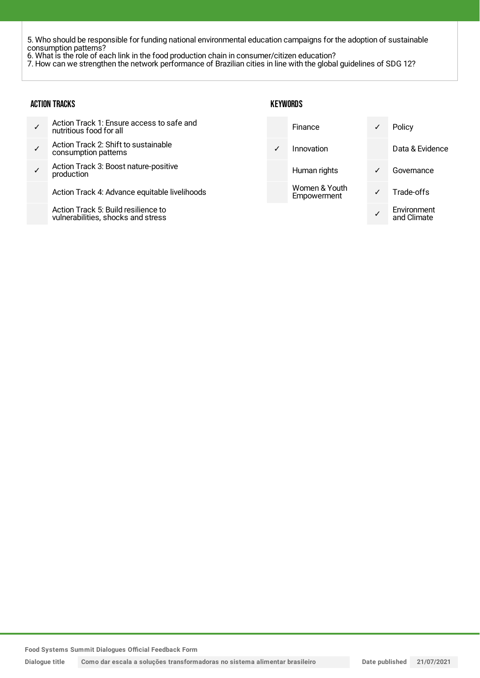5. Who should be responsible for funding national environmental education campaigns for the adoption of sustainable consumption patterns?

6. What is the role of each link in the food production chain in consumer/citizen education?

7. How can we strengthen the network performance of Brazilian cities in line with the global guidelines of SDG 12?

| <b>ACTION TRACKS</b> |                                                                           | KEYWORDS |                              |   |                            |
|----------------------|---------------------------------------------------------------------------|----------|------------------------------|---|----------------------------|
|                      | Action Track 1: Ensure access to safe and<br>nutritious food for all      |          | Finance                      | ✓ | Policy                     |
| $\checkmark$         | Action Track 2: Shift to sustainable<br>consumption patterns              | ✓        | Innovation                   |   | Data & Evidence            |
|                      | Action Track 3: Boost nature-positive<br>production                       |          | Human rights                 | ✓ | Governance                 |
|                      | Action Track 4: Advance equitable livelihoods                             |          | Women & Youth<br>Empowerment | ✓ | Trade-offs                 |
|                      | Action Track 5: Build resilience to<br>vulnerabilities, shocks and stress |          |                              |   | Environment<br>and Climate |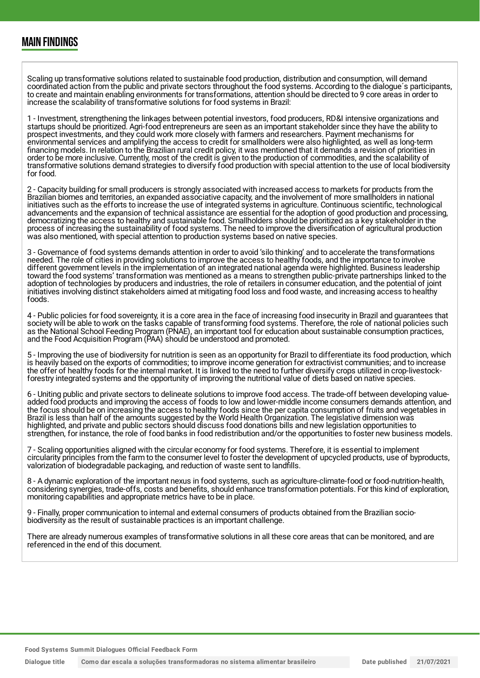Scaling up transformative solutions related to sustainable food production, distribution and consumption, will demand coordinated action from the public and private sectors throughout the food systems. According to the dialogue´s participants, to create and maintain enabling environments for transformations, attention should be directed to 9 core areas in order to increase the scalability of transformative solutions for food systems in Brazil:

1 - Investment, strengthening the linkages between potential investors, food producers, RD&I intensive organizations and startups should be prioritized. Agri-food entrepreneurs are seen as an important stakeholder since they have the ability to prospect investments, and they could work more closely with farmers and researchers. Payment mechanisms for environmental services and amplifying the access to credit for smallholders were also highlighted, as well as long-term financing models. In relation to the Brazilian rural credit policy, it was mentioned that it demands a revision of priorities in order to be more inclusive. Currently, most of the credit is given to the production of commodities, and the scalability of transformative solutions demand strategies to diversify food production with special attention to the use of local biodiversity for food.

2 - Capacity building for small producers is strongly associated with increased access to markets for products from the Brazilian biomes and territories, an expanded associative capacity, and the involvement of more smallholders in national initiatives such as the efforts to increase the use of integrated systems in agriculture. Continuous scientific, technological advancements and the expansion of technical assistance are essential for the adoption of good production and processing, democratizing the access to healthy and sustainable food. Smallholders should be prioritized as a key stakeholder in the process of increasing the sustainability of food systems. The need to improve the diversification of agricultural production was also mentioned, with special attention to production systems based on native species.

3 - Governance of food systems demands attention in order to avoid 'silo thinking' and to accelerate the transformations needed. The role of cities in providing solutions to improve the access to healthy foods, and the importance to involve different government levels in the implementation of an integrated national agenda were highlighted. Business leadership toward the food systems' transformation was mentioned as a means to strengthen public-private partnerships linked to the adoption of technologies by producers and industries, the role of retailers in consumer education, and the potential of joint initiatives involving distinct stakeholders aimed at mitigating food loss and food waste, and increasing access to healthy foods.

4 - Public policies for food sovereignty, it is a core area in the face of increasing food insecurity in Brazil and guarantees that society will be able to work on the tasks capable of transforming food systems. Therefore, the role of national policies such as the National School Feeding Program (PNAE), an important tool for education about sustainable consumption practices, and the Food Acquisition Program (PAA) should be understood and promoted.

5 - Improving the use of biodiversity for nutrition is seen as an opportunity for Brazil to differentiate its food production, which is heavily based on the exports of commodities; to improve income generation for extractivist communities; and to increase the offer of healthy foods for the internal market. It is linked to the need to further diversify crops utilized in crop-livestockforestry integrated systems and the opportunity of improving the nutritional value of diets based on native species.

6 - Uniting public and private sectors to delineate solutions to improve food access. The trade-off between developing valueadded food products and improving the access of foods to low and lower-middle income consumers demands attention, and the focus should be on increasing the access to healthy foods since the per capita consumption of fruits and vegetables in Brazil is less than half of the amounts suggested by the World Health Organization. The legislative dimension was highlighted, and private and public sectors should discuss food donations bills and new legislation opportunities to strengthen, for instance, the role of food banks in food redistribution and/or the opportunities to foster new business models.

7 - Scaling opportunities aligned with the circular economy for food systems. Therefore, it is essential to implement circularity principles from the farm to the consumer level to foster the development of upcycled products, use of byproducts, valorization of biodegradable packaging, and reduction of waste sent to landfills.

8 - A dynamic exploration of the important nexus in food systems, such as agriculture-climate-food or food-nutrition-health, considering synergies, trade-offs, costs and benefits, should enhance transformation potentials. For this kind of exploration, monitoring capabilities and appropriate metrics have to be in place.

9 - Finally, proper communication to internal and external consumers of products obtained from the Brazilian sociobiodiversity as the result of sustainable practices is an important challenge.

There are already numerous examples of transformative solutions in all these core areas that can be monitored, and are referenced in the end of this document.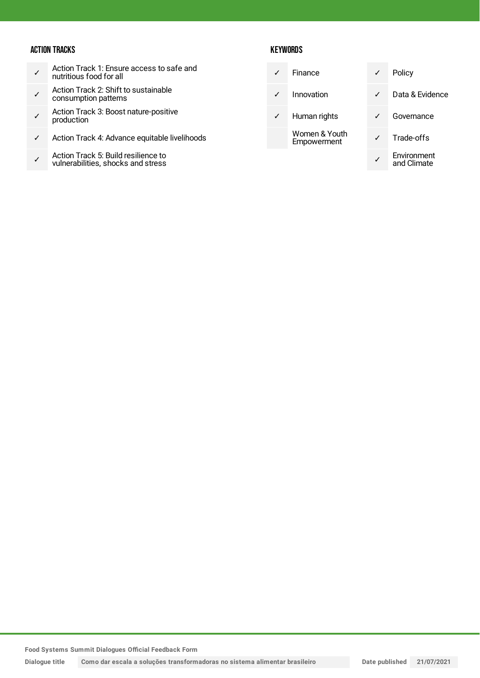#### ACTION TRACKS

- ✓ Action Track 1: Ensure access to safe and nutritious food for all
- ✓ Action Track 2: Shift to sustainable consumption patterns
- ✓ Action Track 3: Boost nature-positive production
- ✓ Action Track 4: Advance equitable livelihoods
- ✓ Action Track 5: Build resilience to vulnerabilities, shocks and stress

#### **KEYWORDS**

|              | Finance                      | $\checkmark$ | Policy                     |
|--------------|------------------------------|--------------|----------------------------|
|              | Innovation                   | ✓            | Data & Evidence            |
| $\checkmark$ | Human rights                 |              | Governance                 |
|              | Women & Youth<br>Empowerment |              | Trade-offs                 |
|              |                              |              | Environment<br>and Climate |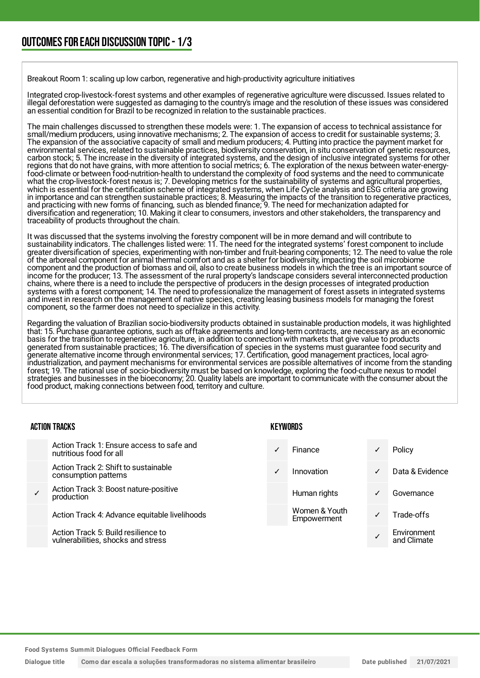Breakout Room 1: scaling up low carbon, regenerative and high-productivity agriculture initiatives

Integrated crop-livestock-forest systems and other examples of regenerative agriculture were discussed. Issues related to illegal deforestation were suggested as damaging to the country's image and the resolution of these issues was considered an essential condition for Brazil to be recognized in relation to the sustainable practices.

The main challenges discussed to strengthen these models were: 1. The expansion of access to technical assistance for small/medium producers, using innovative mechanisms; 2. The expansion of access to credit for sustainable systems; 3. The expansion of the associative capacity of small and medium producers; 4. Putting into practice the payment market for environmental services, related to sustainable practices, biodiversity conservation, in situ conservation of genetic resources, carbon stock; 5. The increase in the diversity of integrated systems, and the design of inclusive integrated systems for other regions that do not have grains, with more attention to social metrics; 6. The exploration of the nexus between water-energyfood-climate or between food-nutrition-health to understand the complexity of food systems and the need to communicate what the crop-livestock-forest nexus is; 7. Developing metrics for the sustainability of systems and agricultural properties, which is essential for the certification scheme of integrated systems, when Life Cycle analysis and ESG criteria are growing in importance and can strengthen sustainable practices; 8. Measuring the impacts of the transition to regenerative practices, and practicing with new forms of financing, such as blended finance; 9. The need for mechanization adapted for diversification and regeneration; 10. Making it clear to consumers, investors and other stakeholders, the transparency and traceability of products throughout the chain.

It was discussed that the systems involving the forestry component will be in more demand and will contribute to sustainability indicators. The challenges listed were: 11. The need for the integrated systems' forest component to include greater diversification of species, experimenting with non-timber and fruit-bearing components; 12. The need to value the role of the arboreal component for animal thermal comfort and as a shelter for biodiversity, impacting the soil microbiome component and the production of biomass and oil, also to create business models in which the tree is an important source of income for the producer; 13. The assessment of the rural property's landscape considers several interconnected production chains, where there is a need to include the perspective of producers in the design processes of integrated production systems with a forest component; 14. The need to professionalize the management of forest assets in integrated systems and invest in research on the management of native species, creating leasing business models for managing the forest component, so the farmer does not need to specialize in this activity.

Regarding the valuation of Brazilian socio-biodiversity products obtained in sustainable production models, it was highlighted that: 15. Purchase guarantee options, such as offtake agreements and long-term contracts, are necessary as an economic basis for the transition to regenerative agriculture, in addition to connection with markets that give value to products generated from sustainable practices; 16. The diversification of species in the systems must guarantee food security and generate alternative income through environmental services; 17. Certification, good management practices, local agroindustrialization, and payment mechanisms for environmental services are possible alternatives of income from the standing forest; 19. The rational use of socio-biodiversity must be based on knowledge, exploring the food-culture nexus to model strategies and businesses in the bioeconomy; 20. Quality labels are important to communicate with the consumer about the food product, making connections between food, territory and culture.

| <b>ACTION TRACKS</b> |                                                                           | <b>KEYWORDS</b> |                              |   |                            |
|----------------------|---------------------------------------------------------------------------|-----------------|------------------------------|---|----------------------------|
|                      | Action Track 1: Ensure access to safe and<br>nutritious food for all      |                 | Finance                      | ✓ | Policy                     |
|                      | Action Track 2: Shift to sustainable<br>consumption patterns              | $\checkmark$    | Innovation                   | ✓ | Data & Evidence            |
|                      | Action Track 3: Boost nature-positive<br>production                       |                 | Human rights                 | ✓ | Governance                 |
|                      | Action Track 4: Advance equitable livelihoods                             |                 | Women & Youth<br>Empowerment | √ | Trade-offs                 |
|                      | Action Track 5: Build resilience to<br>vulnerabilities, shocks and stress |                 |                              |   | Environment<br>and Climate |

**Food Systems Summit Dialogues Official Feedback Form**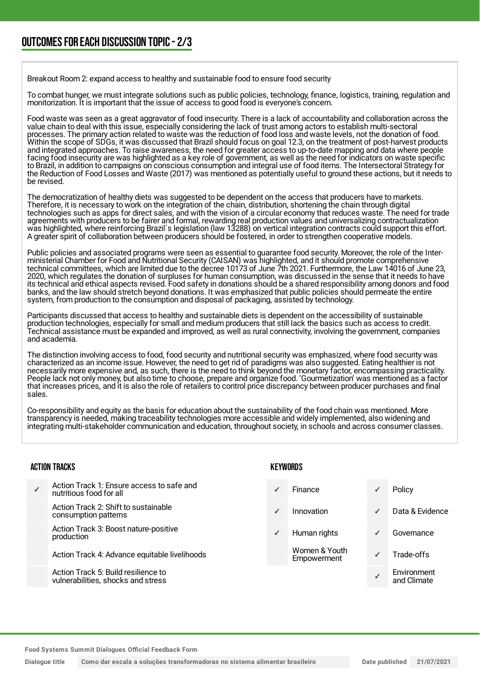Breakout Room 2: expand access to healthy and sustainable food to ensure food security

To combat hunger, we must integrate solutions such as public policies, technology, finance, logistics, training, regulation and monitorization. It is important that the issue of access to good food is everyone's concern.

Food waste was seen as a great aggravator of food insecurity. There is a lack of accountability and collaboration across the value chain to deal with this issue, especially considering the lack of trust among actors to establish multi-sectoral processes. The primary action related to waste was the reduction of food loss and waste levels, not the donation of food. Within the scope of SDGs, it was discussed that Brazil should focus on goal 12.3, on the treatment of post-harvest products and integrated approaches. To raise awareness, the need for greater access to up-to-date mapping and data where people facing food insecurity are was highlighted as a key role of government, as well as the need for indicators on waste specific to Brazil, in addition to campaigns on conscious consumption and integral use of food items. The Intersectoral Strategy for the Reduction of Food Losses and Waste (2017) was mentioned as potentially useful to ground these actions, but it needs to be revised.

The democratization of healthy diets was suggested to be dependent on the access that producers have to markets. Therefore, it is necessary to work on the integration of the chain, distribution, shortening the chain through digital technologies such as apps for direct sales, and with the vision of a circular economy that reduces waste. The need for trade agreements with producers to be fairer and formal, rewarding real production values and universalizing contractualization was highlighted, where reinforcing Brazil´s legislation (law 13288) on vertical integration contracts could support this effort. A greater spirit of collaboration between producers should be fostered, in order to strengthen cooperative models.

Public policies and associated programs were seen as essential to guarantee food security. Moreover, the role of the Interministerial Chamber for Food and Nutritional Security (CAISAN) was highlighted, and it should promote comprehensive technical committees, which are limited due to the decree 10173 of June 7th 2021. Furthermore, the Law 14016 of June 23, 2020, which regulates the donation of surpluses for human consumption, was discussed in the sense that it needs to have its technical and ethical aspects revised. Food safety in donations should be a shared responsibility among donors and food banks, and the law should stretch beyond donations. It was emphasized that public policies should permeate the entire system, from production to the consumption and disposal of packaging, assisted by technology.

Participants discussed that access to healthy and sustainable diets is dependent on the accessibility of sustainable production technologies, especially for small and medium producers that still lack the basics such as access to credit. Technical assistance must be expanded and improved, as well as rural connectivity, involving the government, companies and academia.

The distinction involving access to food, food security and nutritional security was emphasized, where food security was characterized as an income issue. However, the need to get rid of paradigms was also suggested. Eating healthier is not necessarily more expensive and, as such, there is the need to think beyond the monetary factor, encompassing practicality. People lack not only money, but also time to choose, prepare and organize food. 'Gourmetization' was mentioned as a factor that increases prices, and it is also the role of retailers to control price discrepancy between producer purchases and final sales.

Co-responsibility and equity as the basis for education about the sustainability of the food chain was mentioned. More transparency is needed, making traceability technologies more accessible and widely implemented, also widening and integrating multi-stakeholder communication and education, throughout society, in schools and across consumer classes.

#### ACTION TRACKS

| ✓ | Action Track 1: Ensure access to safe and<br>nutritious food for all |
|---|----------------------------------------------------------------------|
|   | Action Track 2: Shift to sustainable<br>consumption patterns         |
|   | Action Track 3: Boost nature-positive<br>production                  |
|   | Action Track 4: Advance equitable livelihoods                        |
|   |                                                                      |

Action Track 5: Build resilience to vulnerabilities, shocks and stress

#### **KEYWORDS**

| ✓            | Finance                      | ✓            | Policy                     |
|--------------|------------------------------|--------------|----------------------------|
| $\checkmark$ | Innovation                   | ✓            | Data & Evidence            |
| $\checkmark$ | Human rights                 | ✓            | Governance                 |
|              | Women & Youth<br>Empowerment | $\checkmark$ | Trade-offs                 |
|              |                              |              | Environment<br>and Climato |

and Climate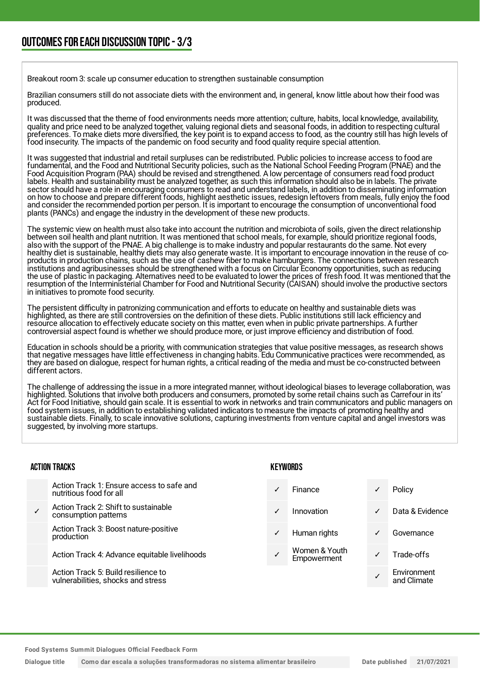Breakout room 3: scale up consumer education to strengthen sustainable consumption

Brazilian consumers still do not associate diets with the environment and, in general, know little about how their food was produced.

It was discussed that the theme of food environments needs more attention; culture, habits, local knowledge, availability, quality and price need to be analyzed together, valuing regional diets and seasonal foods, in addition to respecting cultural preferences. To make diets more diversified, the key point is to expand access to food, as the country still has high levels of food insecurity. The impacts of the pandemic on food security and food quality require special attention.

It was suggested that industrial and retail surpluses can be redistributed. Public policies to increase access to food are fundamental, and the Food and Nutritional Security policies, such as the National School Feeding Program (PNAE) and the Food Acquisition Program (PAA) should be revised and strengthened. A low percentage of consumers read food product labels. Health and sustainability must be analyzed together, as such this information should also be in labels. The private sector should have a role in encouraging consumers to read and understand labels, in addition to disseminating information on how to choose and prepare different foods, highlight aesthetic issues, redesign leftovers from meals, fully enjoy the food and consider the recommended portion per person. It is important to encourage the consumption of unconventional food plants (PANCs) and engage the industry in the development of these new products.

The systemic view on health must also take into account the nutrition and microbiota of soils, given the direct relationship between soil health and plant nutrition. It was mentioned that school meals, for example, should prioritize regional foods, also with the support of the PNAE. A big challenge is to make industry and popular restaurants do the same. Not every healthy diet is sustainable, healthy diets may also generate waste. It is important to encourage innovation in the reuse of coproducts in production chains, such as the use of cashew fiber to make hamburgers. The connections between research institutions and agribusinesses should be strengthened with a focus on Circular Economy opportunities, such as reducing the use of plastic in packaging. Alternatives need to be evaluated to lower the prices of fresh food. It was mentioned that the resumption of the Interministerial Chamber for Food and Nutritional Security (CAISAN) should involve the productive sectors in initiatives to promote food security.

The persistent difficulty in patronizing communication and efforts to educate on healthy and sustainable diets was highlighted, as there are still controversies on the definition of these diets. Public institutions still lack efficiency and resource allocation to effectively educate society on this matter, even when in public private partnerships. A further controversial aspect found is whether we should produce more, or just improve efficiency and distribution of food.

Education in schools should be a priority, with communication strategies that value positive messages, as research shows that negative messages have little effectiveness in changing habits. Edu Communicative practices were recommended, as they are based on dialogue, respect for human rights, a critical reading of the media and must be co-constructed between different actors.

The challenge of addressing the issue in a more integrated manner, without ideological biases to leverage collaboration, was highlighted. Solutions that involve both producers and consumers, promoted by some retail chains such as Carrefour in its' Act for Food Initiative, should gain scale. It is essential to work in networks and train communicators and public managers on food system issues, in addition to establishing validated indicators to measure the impacts of promoting healthy and sustainable diets. Finally, to scale innovative solutions, capturing investments from venture capital and angel investors was suggested, by involving more startups.

#### ACTION TRACKS

|   | Action Track 1: Ensure access to safe and<br>nutritious food for all |
|---|----------------------------------------------------------------------|
| ✓ | Action Track 2: Shift to sustainable<br>consumption patterns         |
|   | Action Track 3: Boost nature-positive                                |

production

Action Track 4: Advance equitable livelihoods

Action Track 5: Build resilience to vulnerabilities, shocks and stress

#### **KEYWORDS**

| Finance                      | Policy                     |
|------------------------------|----------------------------|
| Innovation                   | Data & Evidence            |
| Human rights                 | Governance                 |
| Women & Youth<br>Empowerment | Trade-offs                 |
|                              | Environment<br>and Climate |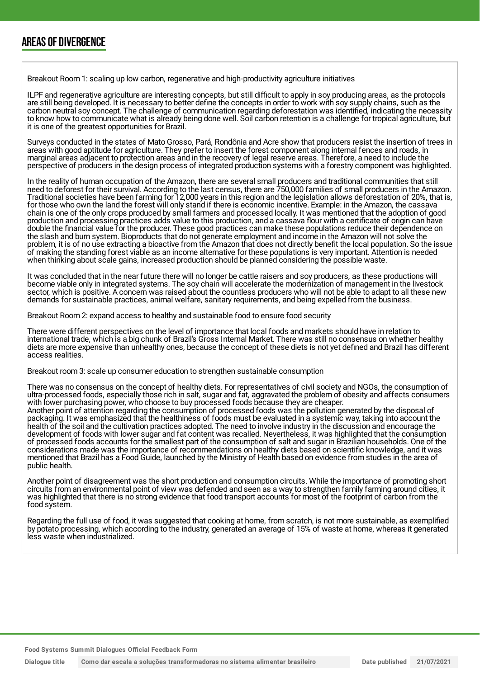### AREAS OF DIVERGENCE

Breakout Room 1: scaling up low carbon, regenerative and high-productivity agriculture initiatives

ILPF and regenerative agriculture are interesting concepts, but still difficult to apply in soy producing areas, as the protocols are still being developed. It is necessary to better define the concepts in order to work with soy supply chains, such as the carbon neutral soy concept. The challenge of communication regarding deforestation was identified, indicating the necessity to know how to communicate what is already being done well. Soil carbon retention is a challenge for tropical agriculture, but it is one of the greatest opportunities for Brazil.

Surveys conducted in the states of Mato Grosso, Pará, Rondônia and Acre show that producers resist the insertion of trees in areas with good aptitude for agriculture. They prefer to insert the forest component along internal fences and roads, in marginal areas adjacent to protection areas and in the recovery of legal reserve areas. Therefore, a need to include the perspective of producers in the design process of integrated production systems with a forestry component was highlighted.

In the reality of human occupation of the Amazon, there are several small producers and traditional communities that still need to deforest for their survival. According to the last census, there are 750,000 families of small producers in the Amazon. Traditional societies have been farming for 12,000 years in this region and the legislation allows deforestation of 20%, that is, for those who own the land the forest will only stand if there is economic incentive. Example: in the Amazon, the cassava chain is one of the only crops produced by small farmers and processed locally. It was mentioned that the adoption of good production and processing practices adds value to this production, and a cassava flour with a certificate of origin can have double the financial value for the producer. These good practices can make these populations reduce their dependence on the slash and burn system. Bioproducts that do not generate employment and income in the Amazon will not solve the problem, it is of no use extracting a bioactive from the Amazon that does not directly benefit the local population. So the issue of making the standing forest viable as an income alternative for these populations is very important. Attention is needed when thinking about scale gains, increased production should be planned considering the possible waste.

It was concluded that in the near future there will no longer be cattle raisers and soy producers, as these productions will become viable only in integrated systems. The soy chain will accelerate the modernization of management in the livestock sector, which is positive. A concern was raised about the countless producers who will not be able to adapt to all these new demands for sustainable practices, animal welfare, sanitary requirements, and being expelled from the business.

Breakout Room 2: expand access to healthy and sustainable food to ensure food security

There were different perspectives on the level of importance that local foods and markets should have in relation to international trade, which is a big chunk of Brazil's Gross Internal Market. There was still no consensus on whether healthy diets are more expensive than unhealthy ones, because the concept of these diets is not yet defined and Brazil has different access realities.

Breakout room 3: scale up consumer education to strengthen sustainable consumption

There was no consensus on the concept of healthy diets. For representatives of civil society and NGOs, the consumption of ultra-processed foods, especially those rich in salt, sugar and fat, aggravated the problem of obesity and affects consumers with lower purchasing power, who choose to buy processed foods because they are cheaper. Another point of attention regarding the consumption of processed foods was the pollution generated by the disposal of packaging. It was emphasized that the healthiness of foods must be evaluated in a systemic way, taking into account the health of the soil and the cultivation practices adopted. The need to involve industry in the discussion and encourage the development of foods with lower sugar and fat content was recalled. Nevertheless, it was highlighted that the consumption of processed foods accounts for the smallest part of the consumption of salt and sugar in Brazilian households. One of the considerations made was the importance of recommendations on healthy diets based on scientific knowledge, and it was mentioned that Brazil has a Food Guide, launched by the Ministry of Health based on evidence from studies in the area of public health.

Another point of disagreement was the short production and consumption circuits. While the importance of promoting short circuits from an environmental point of view was defended and seen as a way to strengthen family farming around cities, it was highlighted that there is no strong evidence that food transport accounts for most of the footprint of carbon from the food system.

Regarding the full use of food, it was suggested that cooking at home, from scratch, is not more sustainable, as exemplified by potato processing, which according to the industry, generated an average of 15% of waste at home, whereas it generated less waste when industrialized.

**Food Systems Summit Dialogues Official Feedback Form**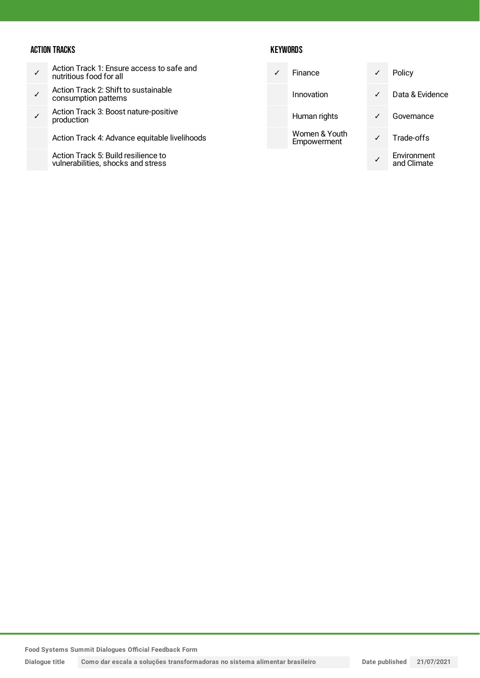#### ACTION TRACKS

| Action Track 1: Ensure access to safe and |
|-------------------------------------------|
| nutritious food for all                   |

- ✓ Action Track 2: Shift to sustainable consumption patterns
- ✓ Action Track 3: Boost nature-positive production
	- Action Track 4: Advance equitable livelihoods

Action Track 5: Build resilience to vulnerabilities, shocks and stress

#### **KEYWORDS**

|  | Finance                      | ✓ | Policy                     |
|--|------------------------------|---|----------------------------|
|  | Innovation                   | ✓ | Data & Evidence            |
|  | Human rights                 |   | Governance                 |
|  | Women & Youth<br>Empowerment |   | Trade-offs                 |
|  |                              |   | Environment<br>and Climate |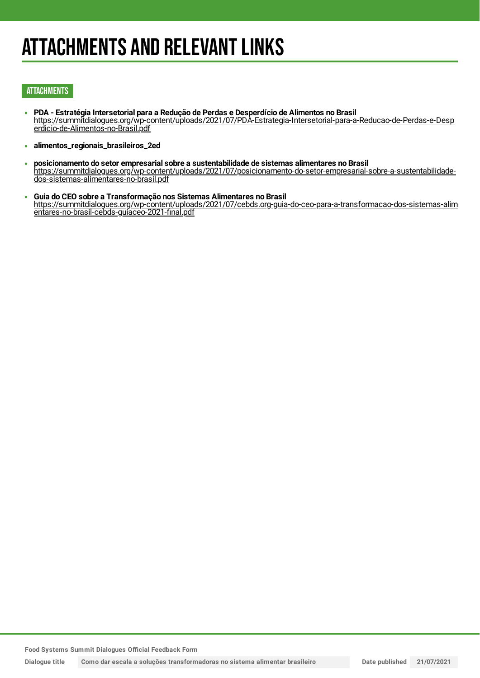### ATTACHMENTS AND RELEVANT LINKS

#### **ATTACHMENTS**

- **PDA - Estratégia Intersetorial para a Redução de Perdas e Desperdício de Alimentos no Brasil** [https://summitdialogues.org/wp-content/uploads/2021/07/PDA-Estrategia-Intersetorial-para-a-Reducao-de-Perdas-e-Desp](https://summitdialogues.org/wp-content/uploads/2021/07/PDA-Estrategia-Intersetorial-para-a-Reducao-de-Perdas-e-Desperdicio-de-Alimentos-no-Brasil.pdf) erdicio-de-Alimentos-no-Brasil.pdf
- **alimentos\_regionais\_brasileiros\_2ed**  $\bullet$
- **posicionamento do setor empresarial sobre a sustentabilidade de sistemas alimentares no Brasil**  $\bullet$ [https://summitdialogues.org/wp-content/uploads/2021/07/posicionamento-do-setor-empresarial-sobre-a-sustentabilidade](https://summitdialogues.org/wp-content/uploads/2021/07/posicionamento-do-setor-empresarial-sobre-a-sustentabilidade-dos-sistemas-alimentares-no-brasil.pdf)dos-sistemas-alimentares-no-brasil.pdf
- **Guia do CEO sobre a Transformação nos Sistemas Alimentares no Brasil** [https://summitdialogues.org/wp-content/uploads/2021/07/cebds.org-guia-do-ceo-para-a-transformacao-dos-sistemas-alim](https://summitdialogues.org/wp-content/uploads/2021/07/cebds.org-guia-do-ceo-para-a-transformacao-dos-sistemas-alimentares-no-brasil-cebds-guiaceo-2021-final.pdf) entares-no-brasil-cebds-guiaceo-2021-final.pdf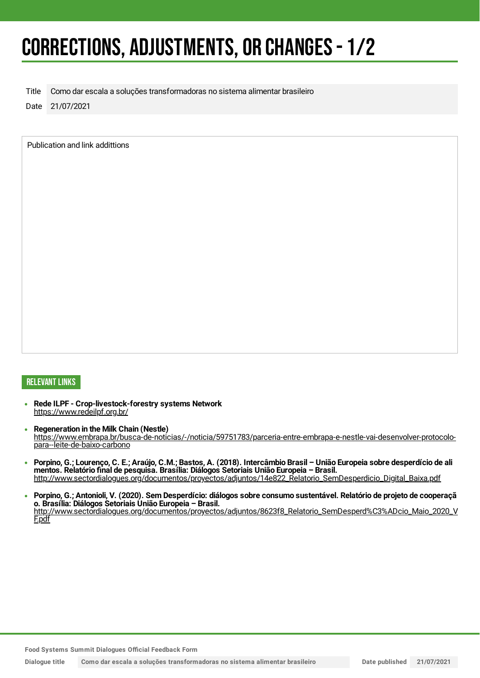### CORRECTIONS, ADJUSTMENTS, OR CHANGES- 1/2

Title Como dar escala a soluções transformadoras no sistema alimentar brasileiro

Date 21/07/2021

Publication and link addittions

#### RELEVANT LINKS

- **Rede ILPF - Crop-livestock-forestry systems Network** <https://www.redeilpf.org.br/>
- **Regeneration in the Milk Chain (Nestle)** [https://www.embrapa.br/busca-de-noticias/-/noticia/59751783/parceria-entre-embrapa-e-nestle-vai-desenvolver-protocolo](https://www.embrapa.br/busca-de-noticias/-/noticia/59751783/parceria-entre-embrapa-e-nestle-vai-desenvolver-protocolo-para--leite-de-baixo-carbono)para--leite-de-baixo-carbono
- Porpino, G.; Lourenço, C. E.; Araújo, C.M.; Bastos, A. (2018). Intercâmbio Brasil União Europeia sobre desperdício de ali  $\bullet$ **mentos. Relatório final de pesquisa. Brasília: Diálogos Setoriais União Europeia – Brasil.** [http://www.sectordialogues.org/documentos/proyectos/adjuntos/14e822\\_Relatorio\\_SemDesperdicio\\_Digital\\_Baixa.pdf](http://www.sectordialogues.org/documentos/proyectos/adjuntos/14e822_Relatorio_SemDesperdicio_Digital_Baixa.pdf)
- Porpino, G.; Antonioli, V. (2020). Sem Desperdício: diálogos sobre consumo sustentável. Relatório de projeto de cooperaçã **o. Brasília: Diálogos Setoriais União Europeia – Brasil.** [http://www.sectordialogues.org/documentos/proyectos/adjuntos/8623f8\\_Relatorio\\_SemDesperd%C3%ADcio\\_Maio\\_2020\\_V](http://www.sectordialogues.org/documentos/proyectos/adjuntos/8623f8_Relatorio_SemDesperd%C3%ADcio_Maio_2020_VF.pdf) F.pdf

**Food Systems Summit Dialogues Official Feedback Form**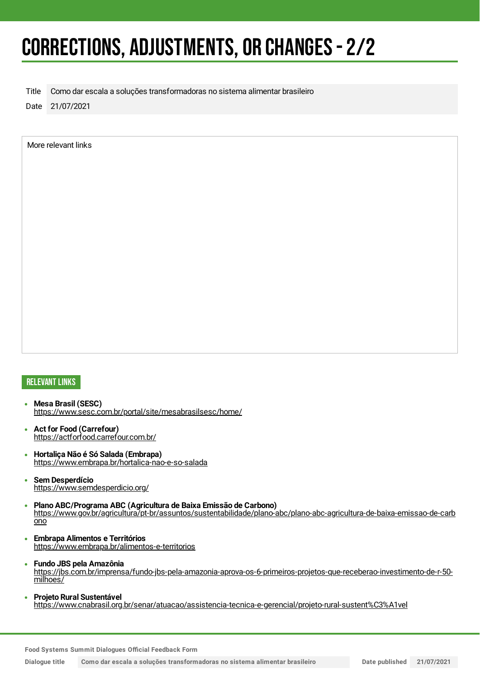### CORRECTIONS, ADJUSTMENTS, OR CHANGES- 2/2

Title Como dar escala a soluções transformadoras no sistema alimentar brasileiro

Date 21/07/2021

More relevant links

#### RELEVANT LINKS

- **Mesa Brasil (SESC)** <https://www.sesc.com.br/portal/site/mesabrasilsesc/home/>
- **Act for Food (Carrefour)** <https://actforfood.carrefour.com.br/>
- **Hortaliça Não é Só Salada (Embrapa)**  $\bullet$ <https://www.embrapa.br/hortalica-nao-e-so-salada>
- **Sem Desperdício**  $\bullet$ <https://www.semdesperdicio.org/>
- **Plano ABC/Programa ABC (Agricultura de Baixa Emissão de Carbono)** [https://www.gov.br/agricultura/pt-br/assuntos/sustentabilidade/plano-abc/plano-abc-agricultura-de-baixa-emissao-de-carb](https://www.gov.br/agricultura/pt-br/assuntos/sustentabilidade/plano-abc/plano-abc-agricultura-de-baixa-emissao-de-carbono) ono
- **Embrapa Alimentos e Territórios**  $\bullet$ <https://www.embrapa.br/alimentos-e-territorios>
- **Fundo JBS pela Amazônia**  $\bullet$ [https://jbs.com.br/imprensa/fundo-jbs-pela-amazonia-aprova-os-6-primeiros-projetos-que-receberao-investimento-de-r-50](https://jbs.com.br/imprensa/fundo-jbs-pela-amazonia-aprova-os-6-primeiros-projetos-que-receberao-investimento-de-r-50-milhoes/) milhoes/
- **Projeto Rural Sustentável** <https://www.cnabrasil.org.br/senar/atuacao/assistencia-tecnica-e-gerencial/projeto-rural-sustent%C3%A1vel>

**Food Systems Summit Dialogues Official Feedback Form**